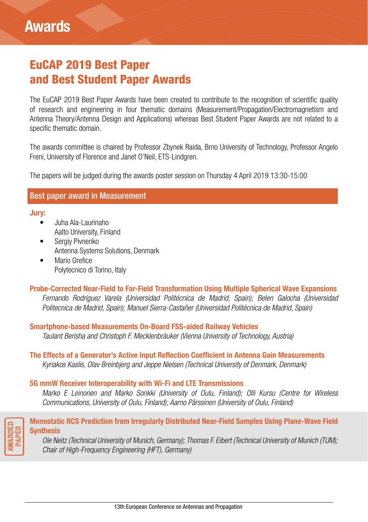# EuCAP 2019 Best Paper and Best Student Paper Awards

The EuCAP 2019 Best Paper Awards have been created to contribute to the recognition of scientific quality of research and engineering in four thematic domains (Measurement/Propagation/Electromagnetism and Antenna Theory/Antenna Design and Applications) whereas Best Student Paper Awards are not related to a specific thematic domain.

The awards committee is chaired by Professor Zbynek Raida, Brno University of Technology, Professor Angelo Freni, University of Florence and Janet O'Neil, ETS-Lindgren.

The papers will be judged during the awards poster session on Thursday 4 April 2019 13:30-15:00

# Best paper award in Measurement

Jury:

Awarded

- Juha Ala-Laurinaho Aalto University, Finland
- Sergiy Piynenko Antenna Systems Solutions, Denmark
- Mario Orefice Polytecnico di Torino, Italy

## Probe-Corrected Near-Field to Far-Field Transformation Using Multiple Spherical Wave Expansions

*Fernando Rodríguez Varela (Universidad Politécnica de Madrid, Spain); Belen Galocha (Universidad Politecnica de Madrid, Spain); Manuel Sierra-Castañer (Universidad Politécnica de Madrid, Spain)*

Smartphone-based Measurements On-Board FSS-aided Railway Vehicles

*Taulant Berisha and Christoph F. Mecklenbräuker (Vienna University of Technology, Austria)*

# The Effects of a Generator's Active Input Reflection Coefficient in Antenna Gain Measurements

*Kyriakos Kaslis, Olav Breinbjerg and Jeppe Nielsen (Technical University of Denmark, Denmark)*

## 5G mmW Receiver Interoperability with Wi-Fi and LTE Transmissions

*Marko E Leinonen and Marko Sonkki (University of Oulu, Finland); Olli Kursu (Centre for Wireless Communications, University of Oulu, Finland); Aarno Pärssinen (University of Oulu, Finland)*



*Ole Neitz (Technical University of Munich, Germany); Thomas F. Eibert (Technical University of Munich (TUM); Chair of High-Frequency Engineering (HFT), Germany)*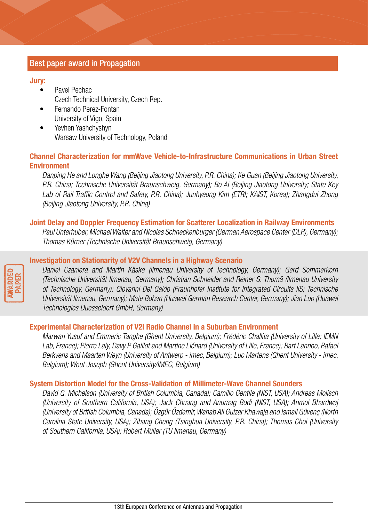## Best paper award in Propagation

#### Jury:

- Pavel Pechac Czech Technical University, Czech Rep.
- Fernando Perez-Fontan University of Vigo, Spain
- Yevhen Yashchyshyn Warsaw University of Technology, Poland

## Channel Characterization for mmWave Vehicle-to-Infrastructure Communications in Urban Street Environment

*Danping He and Longhe Wang (Beijing Jiaotong University, P.R. China); Ke Guan (Beijing Jiaotong University, P.R. China; Technische Universität Braunschweig, Germany); Bo Ai (Beijing Jiaotong University; State Key Lab of Rail Traffic Control and Safety, P.R. China); Junhyeong Kim (ETRI; KAIST, Korea); Zhangdui Zhong (Beijing Jiaotong University, P.R. China)*

## Joint Delay and Doppler Frequency Estimation for Scatterer Localization in Railway Environments

*Paul Unterhuber, Michael Walter and Nicolas Schneckenburger (German Aerospace Center (DLR), Germany); Thomas Kürner (Technische Universität Braunschweig, Germany)*

### Investigation on Stationarity of V2V Channels in a Highway Scenario

*Daniel Czaniera and Martin Käske (Ilmenau University of Technology, Germany); Gerd Sommerkorn (Technische Universität Ilmenau, Germany); Christian Schneider and Reiner S. Thomä (Ilmenau University of Technology, Germany); Giovanni Del Galdo (Fraunhofer Institute for Integrated Circuits IIS; Technische Universität Ilmenau, Germany); Mate Boban (Huawei German Research Center, Germany); Jian Luo (Huawei Technologies Duesseldorf GmbH, Germany)*

## Experimental Characterization of V2I Radio Channel in a Suburban Environment

*Marwan Yusuf and Emmeric Tanghe (Ghent University, Belgium); Frédéric Challita (University of Lille; IEMN*  Lab, France); Pierre Laly, Davy P Gaillot and Martine Liénard (University of Lille, France); Bart Lannoo, Rafael *Berkvens and Maarten Weyn (University of Antwerp - imec, Belgium); Luc Martens (Ghent University - imec, Belgium); Wout Joseph (Ghent University/IMEC, Belgium)*

#### System Distortion Model for the Cross-Validation of Millimeter-Wave Channel Sounders

*David G. Michelson (University of British Columbia, Canada); Camillo Gentile (NIST, USA); Andreas Molisch (University of Southern California, USA); Jack Chuang and Anuraag Bodi (NIST, USA); Anmol Bhardwaj (University of British Columbia, Canada); Özgür Özdemir, Wahab Ali Gulzar Khawaja and Ismail Güvenç (North Carolina State University, USA); Zihang Cheng (Tsinghua University, P.R. China); Thomas Choi (University of Southern California, USA); Robert Müller (TU Ilmenau, Germany)*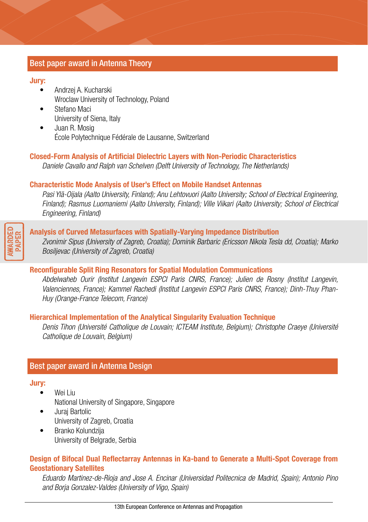# Best paper award in Antenna Theory

#### Jury:

- Andrzej A. Kucharski Wroclaw University of Technology, Poland
- Stefano Maci University of Siena, Italy
- Juan R. Mosig École Polytechnique Fédérale de Lausanne, Switzerland

Closed-Form Analysis of Artificial Dielectric Layers with Non-Periodic Characteristics *Daniele Cavallo and Ralph van Schelven (Delft University of Technology, The Netherlands)*

#### Characteristic Mode Analysis of User's Effect on Mobile Handset Antennas

*Pasi Ylä-Oijala (Aalto University, Finland); Anu Lehtovuori (Aalto University; School of Electrical Engineering, Finland); Rasmus Luomaniemi (Aalto University, Finland); Ville Viikari (Aalto University; School of Electrical Engineering, Finland)*



#### Analysis of Curved Metasurfaces with Spatially-Varying Impedance Distribution

*Zvonimir Sipus (University of Zagreb, Croatia); Dominik Barbaric (Ericsson Nikola Tesla dd, Croatia); Marko Bosiljevac (University of Zagreb, Croatia)*

#### Reconfigurable Split Ring Resonators for Spatial Modulation Communications

*Abdelwaheb Ourir (Institut Langevin ESPCI Paris CNRS, France); Julien de Rosny (Institut Langevin, Valenciennes, France); Kammel Rachedi (Institut Langevin ESPCI Paris CNRS, France); Dinh-Thuy Phan-Huy (Orange-France Telecom, France)*

## Hierarchical Implementation of the Analytical Singularity Evaluation Technique

*Denis Tihon (Université Catholique de Louvain; ICTEAM Institute, Belgium); Christophe Craeye (Université Catholique de Louvain, Belgium)*

# Best paper award in Antenna Design

Jury:

- Wei Liu
	- National University of Singapore, Singapore
- Juraj Bartolic University of Zagreb, Croatia
- Branko Kolundzija University of Belgrade, Serbia

## Design of Bifocal Dual Reflectarray Antennas in Ka-band to Generate a Multi-Spot Coverage from Geostationary Satellites

*Eduardo Martinez-de-Rioja and Jose A. Encinar (Universidad Politecnica de Madrid, Spain); Antonio Pino and Borja Gonzalez-Valdes (University of Vigo, Spain)*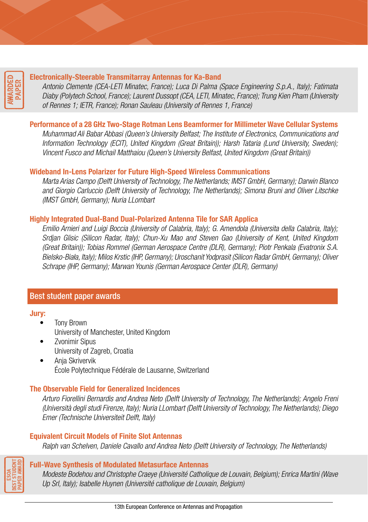

## Electronically-Steerable Transmitarray Antennas for Ka-Band

*Antonio Clemente (CEA-LETI Minatec, France); Luca Di Palma (Space Engineering S.p.A., Italy); Fatimata Diaby (Polytech School, France); Laurent Dussopt (CEA, LETI, Minatec, France); Trung Kien Pham (University of Rennes 1; IETR, France); Ronan Sauleau (University of Rennes 1, France)*

### Performance of a 28 GHz Two-Stage Rotman Lens Beamformer for Millimeter Wave Cellular Systems

*Muhammad Ali Babar Abbasi (Queen's University Belfast; The Institute of Electronics, Communications and Information Technology (ECIT), United Kingdom (Great Britain)); Harsh Tataria (Lund University, Sweden); Vincent Fusco and Michail Matthaiou (Queen's University Belfast, United Kingdom (Great Britain))*

## Wideband In-Lens Polarizer for Future High-Speed Wireless Communications

*Marta Arias Campo (Delft University of Technology, The Netherlands; IMST GmbH, Germany); Darwin Blanco and Giorgio Carluccio (Delft University of Technology, The Netherlands); Simona Bruni and Oliver Litschke (IMST GmbH, Germany); Nuria LLombart*

## Highly Integrated Dual-Band Dual-Polarized Antenna Tile for SAR Applica

*Emilio Arnieri and Luigi Boccia (University of Calabria, Italy); G. Amendola (Universita della Calabria, Italy); Srdjan Glisic (Silicon Radar, Italy); Chun-Xu Mao and Steven Gao (University of Kent, United Kingdom (Great Britain)); Tobias Rommel (German Aerospace Centre (DLR), Germany); Piotr Penkala (Evatronix S.A. Bielsko-Biała, Italy); Milos Krstic (IHP, Germany); Uroschanit Yodprasit (Silicon Radar GmbH, Germany); Oliver Schrape (IHP, Germany); Marwan Younis (German Aerospace Center (DLR), Germany)*

## Best student paper awards

Jury:

ESoA Best Student Paper Award

- **Tony Brown** University of Manchester, United Kingdom
- Zvonimir Sipus University of Zagreb, Croatia
- Anja Skrivervik École Polytechnique Fédérale de Lausanne, Switzerland

## The Observable Field for Generalized Incidences

*Arturo Fiorellini Bernardis and Andrea Neto (Delft University of Technology, The Netherlands); Angelo Freni (Università degli studi Firenze, Italy); Nuria LLombart (Delft University of Technology, The Netherlands); Diego Emer (Technische Universiteit Delft, Italy)*

## Equivalent Circuit Models of Finite Slot Antennas

*Ralph van Schelven, Daniele Cavallo and Andrea Neto (Delft University of Technology, The Netherlands)*

# Full-Wave Synthesis of Modulated Metasurface Antennas

*Modeste Bodehou and Christophe Craeye (Université Catholique de Louvain, Belgium); Enrica Martini (Wave Up Srl, Italy); Isabelle Huynen (Université catholique de Louvain, Belgium)*